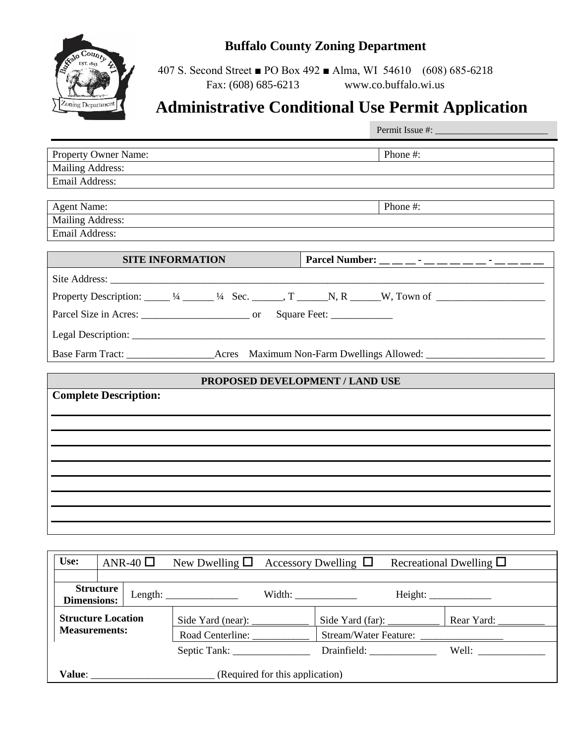

# **Buffalo County Zoning Department**

407 S. Second Street ■ PO Box 492 ■ Alma, WI 54610 (608) 685-6218 Fax: (608) 685-6213 www.co.buffalo.wi.us

# **Administrative Conditional Use Permit Application**

| <b>Property Owner Name:</b>                                                                                    | Phone #: |  |  |  |  |
|----------------------------------------------------------------------------------------------------------------|----------|--|--|--|--|
| Mailing Address:                                                                                               |          |  |  |  |  |
| <b>Email Address:</b>                                                                                          |          |  |  |  |  |
|                                                                                                                |          |  |  |  |  |
| <b>Agent Name:</b>                                                                                             | Phone #: |  |  |  |  |
| <b>Mailing Address:</b>                                                                                        |          |  |  |  |  |
| <b>Email Address:</b>                                                                                          |          |  |  |  |  |
| <b>SITE INFORMATION</b>                                                                                        |          |  |  |  |  |
|                                                                                                                |          |  |  |  |  |
| Property Description: $\_\_\_1/4$ $\_\_\_1/4$ Sec. $\_\_\_$ , T $\_\_\_N$ , R $\_\_W$ , Town of $\_\_\_\_\_$   |          |  |  |  |  |
|                                                                                                                |          |  |  |  |  |
|                                                                                                                |          |  |  |  |  |
| Base Farm Tract: ________________________Acres Maximum Non-Farm Dwellings Allowed: ___________________________ |          |  |  |  |  |
| PROPOSED DEVELOPMENT / LAND USE                                                                                |          |  |  |  |  |
| <b>Complete Description:</b>                                                                                   |          |  |  |  |  |
|                                                                                                                |          |  |  |  |  |
|                                                                                                                |          |  |  |  |  |
|                                                                                                                |          |  |  |  |  |
|                                                                                                                |          |  |  |  |  |
|                                                                                                                |          |  |  |  |  |
|                                                                                                                |          |  |  |  |  |

| Use:                                              |                  | ANR-40 $\Box$ | New Dwelling $\Box$ Accessory Dwelling $\Box$ |                                                           |                                            | Recreational Dwelling $\square$ |
|---------------------------------------------------|------------------|---------------|-----------------------------------------------|-----------------------------------------------------------|--------------------------------------------|---------------------------------|
|                                                   |                  |               |                                               |                                                           |                                            |                                 |
| <b>Dimensions:</b>                                | <b>Structure</b> |               | Length: $\_\_$                                | Width: $\frac{1}{\sqrt{1-\frac{1}{2}} \cdot \frac{1}{2}}$ |                                            | Height:                         |
| <b>Structure Location</b><br><b>Measurements:</b> |                  |               |                                               | Side Yard (far):                                          | Rear Yard: $\_\_\_\_\_\_\_\_\_\_\_\_\_\_\$ |                                 |
|                                                   |                  |               | Road Centerline:                              |                                                           | Stream/Water Feature:                      |                                 |
|                                                   |                  |               |                                               | Drainfield:                                               |                                            |                                 |
| (Required for this application)<br><b>Value:</b>  |                  |               |                                               |                                                           |                                            |                                 |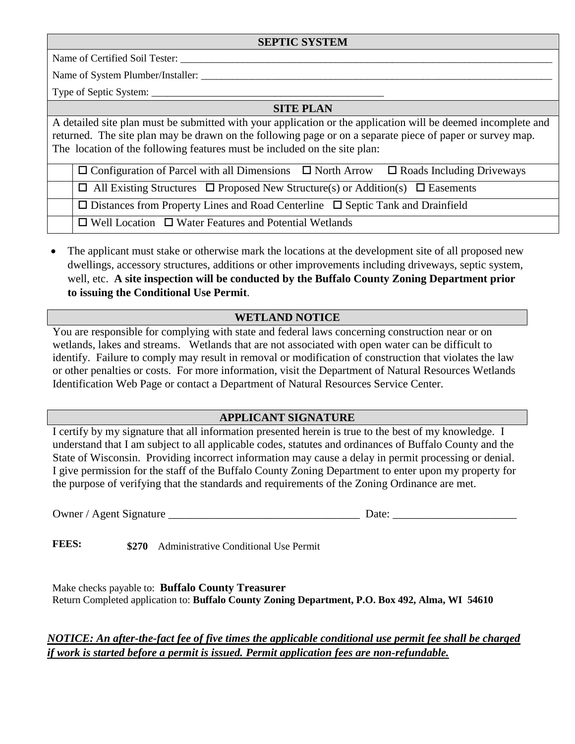#### **SEPTIC SYSTEM**

Name of Certified Soil Tester:

Name of System Plumber/Installer:

Type of Septic System:

# **SITE PLAN**

A detailed site plan must be submitted with your application or the application will be deemed incomplete and returned. The site plan may be drawn on the following page or on a separate piece of paper or survey map. The location of the following features must be included on the site plan:

 $\square$  Configuration of Parcel with all Dimensions  $\square$  North Arrow  $\square$  Roads Including Driveways  $\Box$  All Existing Structures  $\Box$  Proposed New Structure(s) or Addition(s)  $\Box$  Easements  $\square$  Distances from Property Lines and Road Centerline  $\square$  Septic Tank and Drainfield  $\Box$  Well Location  $\Box$  Water Features and Potential Wetlands

 The applicant must stake or otherwise mark the locations at the development site of all proposed new dwellings, accessory structures, additions or other improvements including driveways, septic system, well, etc. **A site inspection will be conducted by the Buffalo County Zoning Department prior to issuing the Conditional Use Permit**.

### **WETLAND NOTICE**

You are responsible for complying with state and federal laws concerning construction near or on wetlands, lakes and streams. Wetlands that are not associated with open water can be difficult to identify. Failure to comply may result in removal or modification of construction that violates the law or other penalties or costs. For more information, visit the Department of Natural Resources Wetlands Identification Web Page or contact a Department of Natural Resources Service Center.

### **APPLICANT SIGNATURE**

I certify by my signature that all information presented herein is true to the best of my knowledge. I understand that I am subject to all applicable codes, statutes and ordinances of Buffalo County and the State of Wisconsin. Providing incorrect information may cause a delay in permit processing or denial. I give permission for the staff of the Buffalo County Zoning Department to enter upon my property for the purpose of verifying that the standards and requirements of the Zoning Ordinance are met.

Owner / Agent Signature \_\_\_\_\_\_\_\_\_\_\_\_\_\_\_\_\_\_\_\_\_\_\_\_\_\_\_\_\_\_\_\_\_\_ Date: \_\_\_\_\_\_\_\_\_\_\_\_\_\_\_\_\_\_\_\_\_\_

**FEES: \$270** Administrative Conditional Use Permit

Make checks payable to: **Buffalo County Treasurer** Return Completed application to: **Buffalo County Zoning Department, P.O. Box 492, Alma, WI 54610**

*NOTICE: An after-the-fact fee of five times the applicable conditional use permit fee shall be charged if work is started before a permit is issued. Permit application fees are non-refundable.*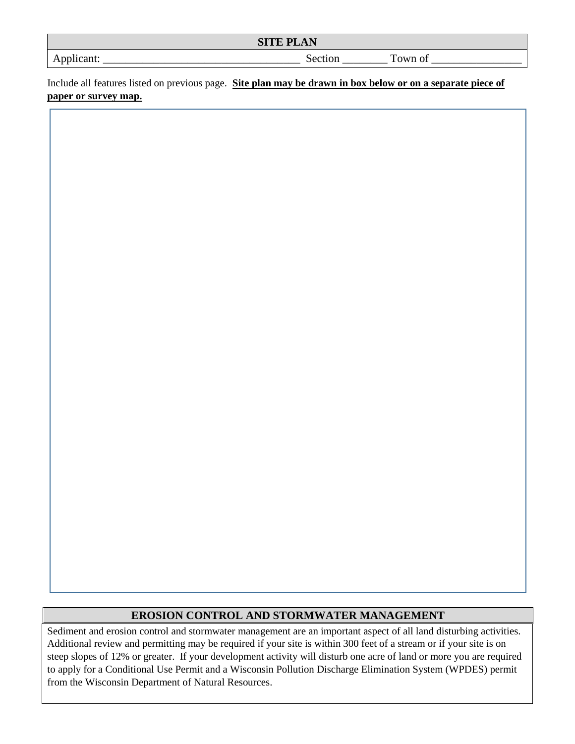| CITE DI<br>$ -$<br>N<br>$\sqrt{ }$<br>້<br>. |    |       |  |  |
|----------------------------------------------|----|-------|--|--|
| -анг.<br><b><i>LAL</i></b><br>__<br>.        | UĦ | m<br> |  |  |

Include all features listed on previous page. **Site plan may be drawn in box below or on a separate piece of paper or survey map.**

## **EROSION CONTROL AND STORMWATER MANAGEMENT**

Sediment and erosion control and stormwater management are an important aspect of all land disturbing activities. Additional review and permitting may be required if your site is within 300 feet of a stream or if your site is on steep slopes of 12% or greater. If your development activity will disturb one acre of land or more you are required to apply for a Conditional Use Permit and a Wisconsin Pollution Discharge Elimination System (WPDES) permit from the Wisconsin Department of Natural Resources.